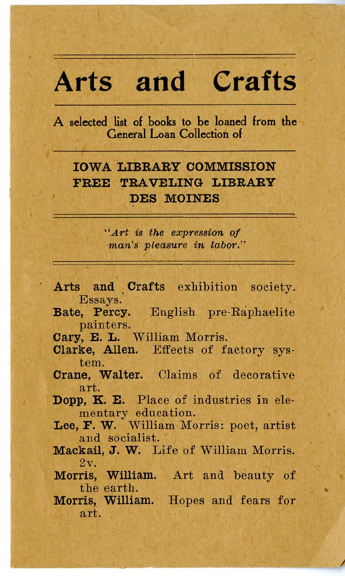# **Arts and Crafts**

A selected list of books' to be loaned from the General Loan Collection of

## IOWA LIBRARY COMMISSION FREE TRAVELING LIBRARY DES MOINES

*"Art is the expression of*  man's pleasure in labor."

- Arts and Crafts exhibition society. Essays.
- Bate, Percy. English pre-Raphaelite p ainters.
- Cary, E. L. William Morris.
- Clarke, Allen. Effects of factory system.
- Crane, Walter. Claims of decorative a rt.
- Dopp, K. E. Place of industries in elementary education.
- Lee, F. W. William Morris: poet, artist and socialist.
- Mackail, J. W. Life of William Morris.  $2v$
- Morris, William. Art and beauty of the earth.
- Morris, William. Hopes and fears for art.

I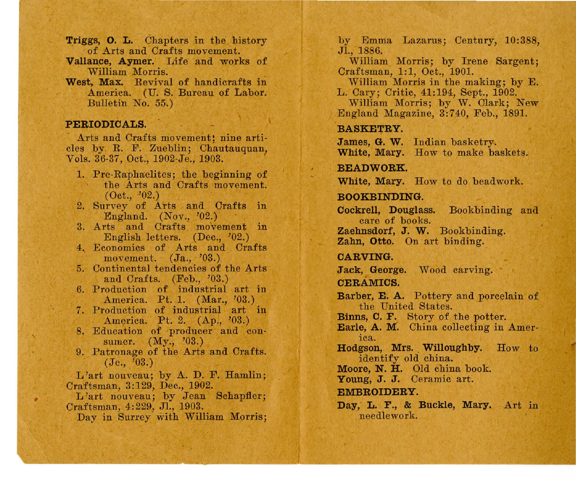- Triggs, O. L. Chapters in the history of Arts and Crafts movement.
- Vallance, Aymer. Life and works of William Morris.
- West, Max. Revival of handicrafts in America. (U. S. Bureau of Labor. Bulletin No. 55.)

## PERIODICALS.

Arts and Crafts movement; nine articles by R. F. Zueblin; Chautauquan, Vols. 36-37, Oct., 1902-Je., 1903.

- 1. Pre-Raphaelites; the beginning of the Arts and Crafts movement. (Oct., '02.)
- 2. Survey of Arts and Crafts in England.  $(Nov., '02.)$
- 3. Arts and Crafts movement in English letters. (Dec., '02.)
- 4, Economics of Arts and Crafts movement. (Ja., '03.)
- 5. Continental tendencies of the Arts and Crafts. (Feb., '03.)
- 6. Production of industrial art in America. Pt. 1. (Mar., '03.)
- 7. Production of industrial art in America. Pt. 2. (Ap., '03.)
- 8. Education of producer and con-<br>sumer.  $(My., '03.)$
- 9. Patronage of the Arts and Crafts.  $(J<sub>e</sub>, '03.)$

L'art nouveau; by A. D. F. Hamlin;

L'art nouveau; by Jean Schapfler; Craftsman, 4:229, JI., 1903.

Day in Surrey with William Morris;

by Emma Lazarus; Century, 10:388, JI., 1886.

William Morris; by Irene Sargent; Craftsman, 1:1, Oct., 1901.

William Morris in the making; by E. L. Cary; Critic, 41:194, Sept., 1902.

William Morris: by W. Clark: New England Magazine, 3:740, Feb., 1891.

## BASKETRY.

James, G. W. Indian basketry. White, Mary. How to make baskets.

#### BEADWORK.

White, Mary. How to do beadwork.

## BOOKBINDING.

Cockrell, Douglass. Bookbinding and care of books.<br>Zaehnsdorf, J. W. Bookbinding.<br>Zahn, Otto. On art binding.

#### CARVING.

Jack, George. Wood carving.

## CERAMICS.

Barber, E. A. Pottery and porcelain of

Binns, C. F. Story of the potter.<br>Earle, A. M. China collecting in Amer-

ica.

Hodgson, Mrs. Willoughby. How to identify old china.

Moore, N. H. Old china book.<br>Young, J. J. Ceramic art.

#### EMBROIDERY.

Day, L. F., & Buckle, Mary. Art in needlework.